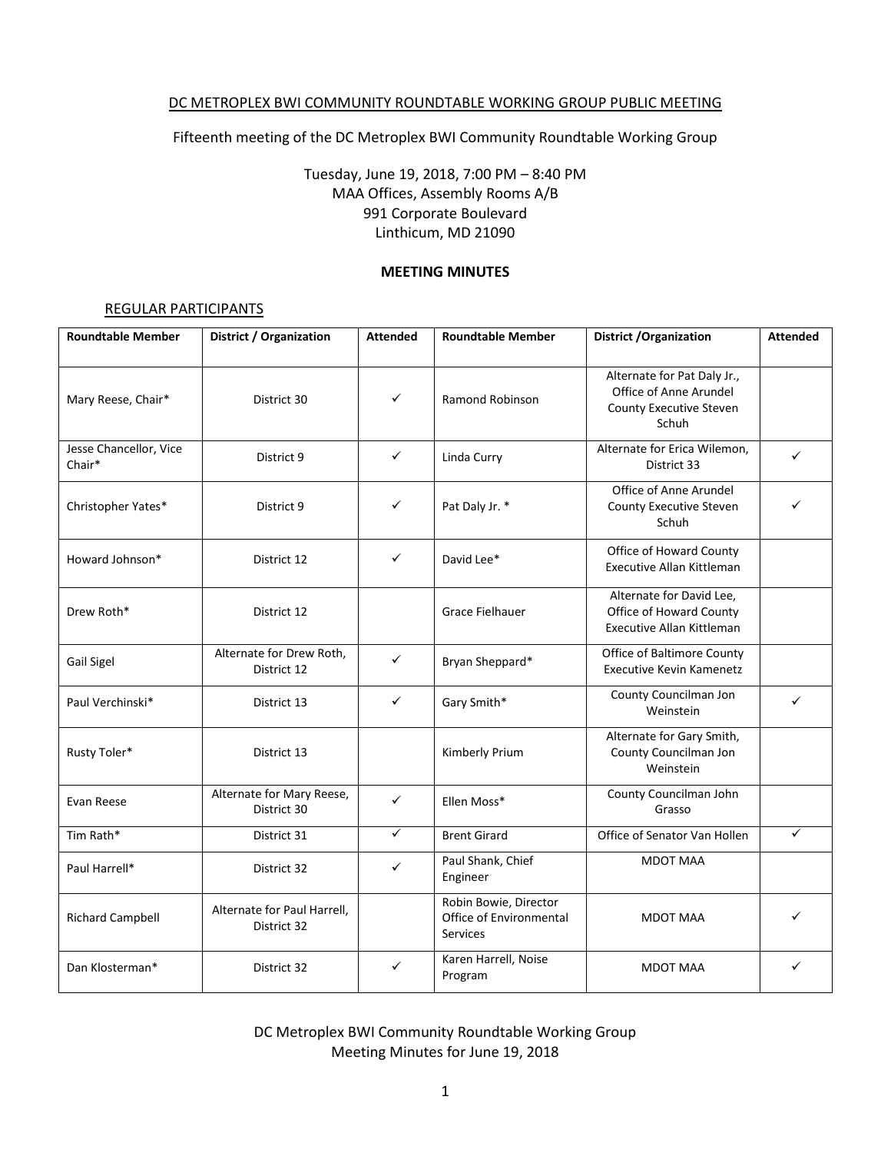#### DC METROPLEX BWI COMMUNITY ROUNDTABLE WORKING GROUP PUBLIC MEETING

Fifteenth meeting of the DC Metroplex BWI Community Roundtable Working Group

Tuesday, June 19, 2018, 7:00 PM – 8:40 PM MAA Offices, Assembly Rooms A/B 991 Corporate Boulevard Linthicum, MD 21090

#### **MEETING MINUTES**

#### REGULAR PARTICIPANTS

| <b>Roundtable Member</b>         | <b>District / Organization</b>             | <b>Attended</b> | <b>Roundtable Member</b>                                            | <b>District / Organization</b>                                                            | <b>Attended</b> |
|----------------------------------|--------------------------------------------|-----------------|---------------------------------------------------------------------|-------------------------------------------------------------------------------------------|-----------------|
| Mary Reese, Chair*               | District 30                                | ✓               | <b>Ramond Robinson</b>                                              | Alternate for Pat Daly Jr.,<br>Office of Anne Arundel<br>County Executive Steven<br>Schuh |                 |
| Jesse Chancellor, Vice<br>Chair* | District 9                                 | $\checkmark$    | Linda Curry                                                         | Alternate for Erica Wilemon,<br>District 33                                               | $\checkmark$    |
| Christopher Yates*               | District 9                                 | ✓               | Pat Daly Jr. *                                                      | Office of Anne Arundel<br>County Executive Steven<br>Schuh                                |                 |
| Howard Johnson*                  | District 12                                | ✓               | David Lee*                                                          | Office of Howard County<br><b>Executive Allan Kittleman</b>                               |                 |
| Drew Roth*                       | District 12                                |                 | <b>Grace Fielhauer</b>                                              | Alternate for David Lee,<br>Office of Howard County<br>Executive Allan Kittleman          |                 |
| Gail Sigel                       | Alternate for Drew Roth,<br>District 12    | $\checkmark$    | Bryan Sheppard*                                                     | Office of Baltimore County<br><b>Executive Kevin Kamenetz</b>                             |                 |
| Paul Verchinski*                 | District 13                                | ✓               | Gary Smith*                                                         | County Councilman Jon<br>Weinstein                                                        | ✓               |
| Rusty Toler*                     | District 13                                |                 | Kimberly Prium                                                      | Alternate for Gary Smith,<br>County Councilman Jon<br>Weinstein                           |                 |
| Evan Reese                       | Alternate for Mary Reese,<br>District 30   | $\checkmark$    | Ellen Moss*                                                         | County Councilman John<br>Grasso                                                          |                 |
| Tim Rath*                        | District 31                                | $\checkmark$    | <b>Brent Girard</b>                                                 | Office of Senator Van Hollen                                                              | ✓               |
| Paul Harrell*                    | District 32                                | ✓               | Paul Shank, Chief<br>Engineer                                       | <b>MDOT MAA</b>                                                                           |                 |
| <b>Richard Campbell</b>          | Alternate for Paul Harrell,<br>District 32 |                 | Robin Bowie, Director<br>Office of Environmental<br><b>Services</b> | <b>MDOT MAA</b>                                                                           | ✓               |
| Dan Klosterman*                  | District 32                                | ✓               | Karen Harrell, Noise<br>Program                                     | <b>MDOT MAA</b>                                                                           | ✓               |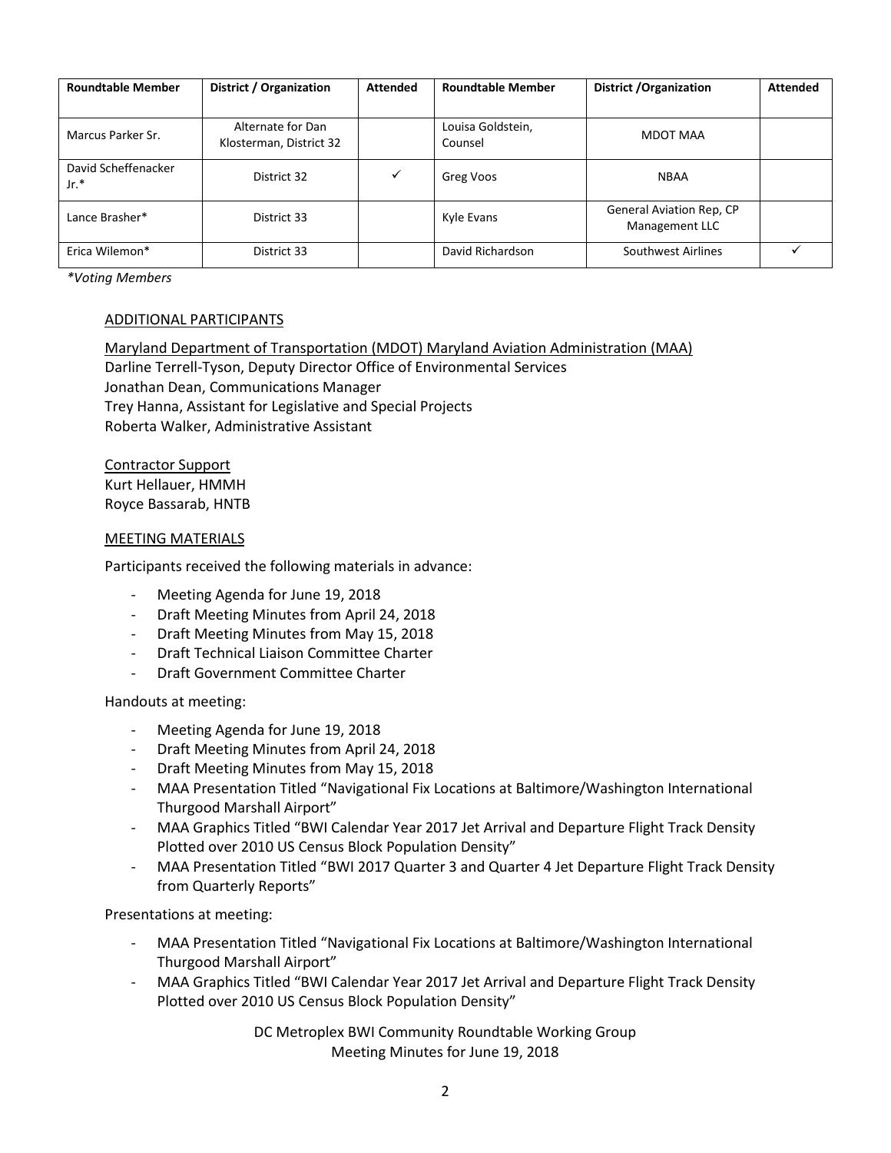| <b>Roundtable Member</b>      | District / Organization                      | <b>Attended</b> | <b>Roundtable Member</b>     | District / Organization                    | <b>Attended</b> |
|-------------------------------|----------------------------------------------|-----------------|------------------------------|--------------------------------------------|-----------------|
| Marcus Parker Sr.             | Alternate for Dan<br>Klosterman, District 32 |                 | Louisa Goldstein,<br>Counsel | MDOT MAA                                   |                 |
| David Scheffenacker<br>$Jr.*$ | District 32                                  | ✓               | Greg Voos                    | <b>NBAA</b>                                |                 |
| Lance Brasher*                | District 33                                  |                 | Kyle Evans                   | General Aviation Rep, CP<br>Management LLC |                 |
| Erica Wilemon*                | District 33                                  |                 | David Richardson             | Southwest Airlines                         |                 |

*\*Voting Members*

#### ADDITIONAL PARTICIPANTS

Maryland Department of Transportation (MDOT) Maryland Aviation Administration (MAA) Darline Terrell-Tyson, Deputy Director Office of Environmental Services Jonathan Dean, Communications Manager Trey Hanna, Assistant for Legislative and Special Projects Roberta Walker, Administrative Assistant

Contractor Support Kurt Hellauer, HMMH Royce Bassarab, HNTB

#### MEETING MATERIALS

Participants received the following materials in advance:

- Meeting Agenda for June 19, 2018
- Draft Meeting Minutes from April 24, 2018
- Draft Meeting Minutes from May 15, 2018
- Draft Technical Liaison Committee Charter
- Draft Government Committee Charter

Handouts at meeting:

- Meeting Agenda for June 19, 2018
- Draft Meeting Minutes from April 24, 2018
- Draft Meeting Minutes from May 15, 2018
- MAA Presentation Titled "Navigational Fix Locations at Baltimore/Washington International Thurgood Marshall Airport"
- MAA Graphics Titled "BWI Calendar Year 2017 Jet Arrival and Departure Flight Track Density Plotted over 2010 US Census Block Population Density"
- MAA Presentation Titled "BWI 2017 Quarter 3 and Quarter 4 Jet Departure Flight Track Density from Quarterly Reports"

Presentations at meeting:

- MAA Presentation Titled "Navigational Fix Locations at Baltimore/Washington International Thurgood Marshall Airport"
- MAA Graphics Titled "BWI Calendar Year 2017 Jet Arrival and Departure Flight Track Density Plotted over 2010 US Census Block Population Density"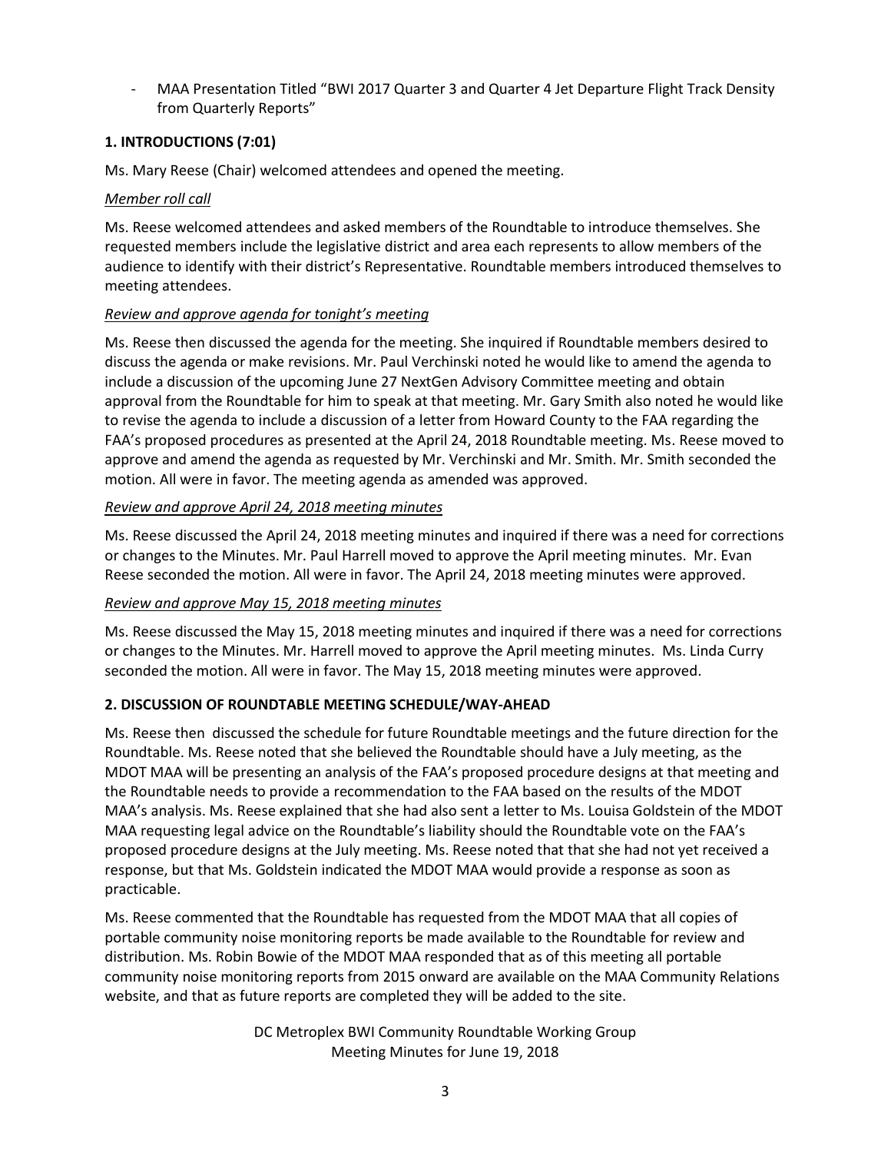MAA Presentation Titled "BWI 2017 Quarter 3 and Quarter 4 Jet Departure Flight Track Density from Quarterly Reports"

# **1. INTRODUCTIONS (7:01)**

Ms. Mary Reese (Chair) welcomed attendees and opened the meeting.

## *Member roll call*

Ms. Reese welcomed attendees and asked members of the Roundtable to introduce themselves. She requested members include the legislative district and area each represents to allow members of the audience to identify with their district's Representative. Roundtable members introduced themselves to meeting attendees.

## *Review and approve agenda for tonight's meeting*

Ms. Reese then discussed the agenda for the meeting. She inquired if Roundtable members desired to discuss the agenda or make revisions. Mr. Paul Verchinski noted he would like to amend the agenda to include a discussion of the upcoming June 27 NextGen Advisory Committee meeting and obtain approval from the Roundtable for him to speak at that meeting. Mr. Gary Smith also noted he would like to revise the agenda to include a discussion of a letter from Howard County to the FAA regarding the FAA's proposed procedures as presented at the April 24, 2018 Roundtable meeting. Ms. Reese moved to approve and amend the agenda as requested by Mr. Verchinski and Mr. Smith. Mr. Smith seconded the motion. All were in favor. The meeting agenda as amended was approved.

## *Review and approve April 24, 2018 meeting minutes*

Ms. Reese discussed the April 24, 2018 meeting minutes and inquired if there was a need for corrections or changes to the Minutes. Mr. Paul Harrell moved to approve the April meeting minutes. Mr. Evan Reese seconded the motion. All were in favor. The April 24, 2018 meeting minutes were approved.

# *Review and approve May 15, 2018 meeting minutes*

Ms. Reese discussed the May 15, 2018 meeting minutes and inquired if there was a need for corrections or changes to the Minutes. Mr. Harrell moved to approve the April meeting minutes. Ms. Linda Curry seconded the motion. All were in favor. The May 15, 2018 meeting minutes were approved.

# **2. DISCUSSION OF ROUNDTABLE MEETING SCHEDULE/WAY-AHEAD**

Ms. Reese then discussed the schedule for future Roundtable meetings and the future direction for the Roundtable. Ms. Reese noted that she believed the Roundtable should have a July meeting, as the MDOT MAA will be presenting an analysis of the FAA's proposed procedure designs at that meeting and the Roundtable needs to provide a recommendation to the FAA based on the results of the MDOT MAA's analysis. Ms. Reese explained that she had also sent a letter to Ms. Louisa Goldstein of the MDOT MAA requesting legal advice on the Roundtable's liability should the Roundtable vote on the FAA's proposed procedure designs at the July meeting. Ms. Reese noted that that she had not yet received a response, but that Ms. Goldstein indicated the MDOT MAA would provide a response as soon as practicable.

Ms. Reese commented that the Roundtable has requested from the MDOT MAA that all copies of portable community noise monitoring reports be made available to the Roundtable for review and distribution. Ms. Robin Bowie of the MDOT MAA responded that as of this meeting all portable community noise monitoring reports from 2015 onward are available on the MAA Community Relations website, and that as future reports are completed they will be added to the site.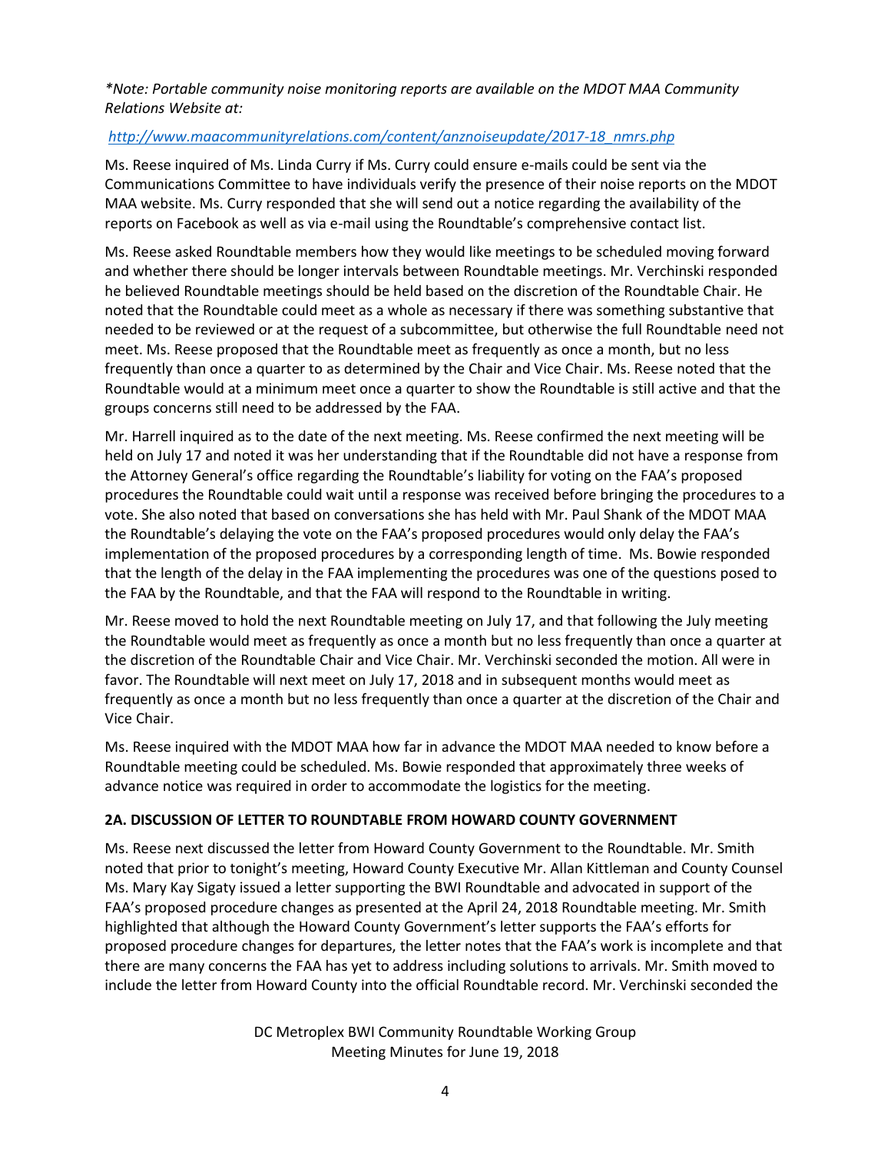# *\*Note: Portable community noise monitoring reports are available on the MDOT MAA Community Relations Website at:*

## *[http://www.maacommunityrelations.com/content/anznoiseupdate/2017-18\\_nmrs.php](http://www.maacommunityrelations.com/content/anznoiseupdate/2017-18_nmrs.php)*

Ms. Reese inquired of Ms. Linda Curry if Ms. Curry could ensure e-mails could be sent via the Communications Committee to have individuals verify the presence of their noise reports on the MDOT MAA website. Ms. Curry responded that she will send out a notice regarding the availability of the reports on Facebook as well as via e-mail using the Roundtable's comprehensive contact list.

Ms. Reese asked Roundtable members how they would like meetings to be scheduled moving forward and whether there should be longer intervals between Roundtable meetings. Mr. Verchinski responded he believed Roundtable meetings should be held based on the discretion of the Roundtable Chair. He noted that the Roundtable could meet as a whole as necessary if there was something substantive that needed to be reviewed or at the request of a subcommittee, but otherwise the full Roundtable need not meet. Ms. Reese proposed that the Roundtable meet as frequently as once a month, but no less frequently than once a quarter to as determined by the Chair and Vice Chair. Ms. Reese noted that the Roundtable would at a minimum meet once a quarter to show the Roundtable is still active and that the groups concerns still need to be addressed by the FAA.

Mr. Harrell inquired as to the date of the next meeting. Ms. Reese confirmed the next meeting will be held on July 17 and noted it was her understanding that if the Roundtable did not have a response from the Attorney General's office regarding the Roundtable's liability for voting on the FAA's proposed procedures the Roundtable could wait until a response was received before bringing the procedures to a vote. She also noted that based on conversations she has held with Mr. Paul Shank of the MDOT MAA the Roundtable's delaying the vote on the FAA's proposed procedures would only delay the FAA's implementation of the proposed procedures by a corresponding length of time. Ms. Bowie responded that the length of the delay in the FAA implementing the procedures was one of the questions posed to the FAA by the Roundtable, and that the FAA will respond to the Roundtable in writing.

Mr. Reese moved to hold the next Roundtable meeting on July 17, and that following the July meeting the Roundtable would meet as frequently as once a month but no less frequently than once a quarter at the discretion of the Roundtable Chair and Vice Chair. Mr. Verchinski seconded the motion. All were in favor. The Roundtable will next meet on July 17, 2018 and in subsequent months would meet as frequently as once a month but no less frequently than once a quarter at the discretion of the Chair and Vice Chair.

Ms. Reese inquired with the MDOT MAA how far in advance the MDOT MAA needed to know before a Roundtable meeting could be scheduled. Ms. Bowie responded that approximately three weeks of advance notice was required in order to accommodate the logistics for the meeting.

### **2A. DISCUSSION OF LETTER TO ROUNDTABLE FROM HOWARD COUNTY GOVERNMENT**

Ms. Reese next discussed the letter from Howard County Government to the Roundtable. Mr. Smith noted that prior to tonight's meeting, Howard County Executive Mr. Allan Kittleman and County Counsel Ms. Mary Kay Sigaty issued a letter supporting the BWI Roundtable and advocated in support of the FAA's proposed procedure changes as presented at the April 24, 2018 Roundtable meeting. Mr. Smith highlighted that although the Howard County Government's letter supports the FAA's efforts for proposed procedure changes for departures, the letter notes that the FAA's work is incomplete and that there are many concerns the FAA has yet to address including solutions to arrivals. Mr. Smith moved to include the letter from Howard County into the official Roundtable record. Mr. Verchinski seconded the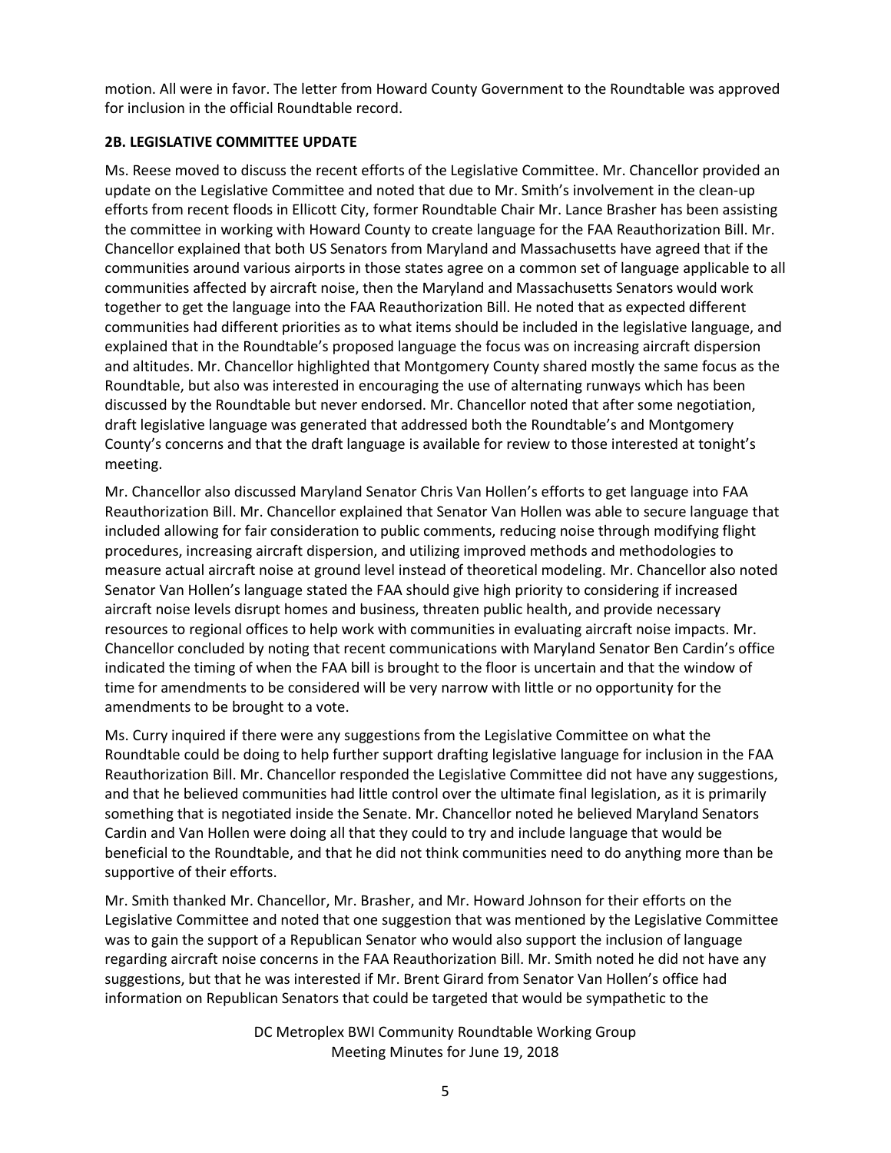motion. All were in favor. The letter from Howard County Government to the Roundtable was approved for inclusion in the official Roundtable record.

## **2B. LEGISLATIVE COMMITTEE UPDATE**

Ms. Reese moved to discuss the recent efforts of the Legislative Committee. Mr. Chancellor provided an update on the Legislative Committee and noted that due to Mr. Smith's involvement in the clean-up efforts from recent floods in Ellicott City, former Roundtable Chair Mr. Lance Brasher has been assisting the committee in working with Howard County to create language for the FAA Reauthorization Bill. Mr. Chancellor explained that both US Senators from Maryland and Massachusetts have agreed that if the communities around various airports in those states agree on a common set of language applicable to all communities affected by aircraft noise, then the Maryland and Massachusetts Senators would work together to get the language into the FAA Reauthorization Bill. He noted that as expected different communities had different priorities as to what items should be included in the legislative language, and explained that in the Roundtable's proposed language the focus was on increasing aircraft dispersion and altitudes. Mr. Chancellor highlighted that Montgomery County shared mostly the same focus as the Roundtable, but also was interested in encouraging the use of alternating runways which has been discussed by the Roundtable but never endorsed. Mr. Chancellor noted that after some negotiation, draft legislative language was generated that addressed both the Roundtable's and Montgomery County's concerns and that the draft language is available for review to those interested at tonight's meeting.

Mr. Chancellor also discussed Maryland Senator Chris Van Hollen's efforts to get language into FAA Reauthorization Bill. Mr. Chancellor explained that Senator Van Hollen was able to secure language that included allowing for fair consideration to public comments, reducing noise through modifying flight procedures, increasing aircraft dispersion, and utilizing improved methods and methodologies to measure actual aircraft noise at ground level instead of theoretical modeling. Mr. Chancellor also noted Senator Van Hollen's language stated the FAA should give high priority to considering if increased aircraft noise levels disrupt homes and business, threaten public health, and provide necessary resources to regional offices to help work with communities in evaluating aircraft noise impacts. Mr. Chancellor concluded by noting that recent communications with Maryland Senator Ben Cardin's office indicated the timing of when the FAA bill is brought to the floor is uncertain and that the window of time for amendments to be considered will be very narrow with little or no opportunity for the amendments to be brought to a vote.

Ms. Curry inquired if there were any suggestions from the Legislative Committee on what the Roundtable could be doing to help further support drafting legislative language for inclusion in the FAA Reauthorization Bill. Mr. Chancellor responded the Legislative Committee did not have any suggestions, and that he believed communities had little control over the ultimate final legislation, as it is primarily something that is negotiated inside the Senate. Mr. Chancellor noted he believed Maryland Senators Cardin and Van Hollen were doing all that they could to try and include language that would be beneficial to the Roundtable, and that he did not think communities need to do anything more than be supportive of their efforts.

Mr. Smith thanked Mr. Chancellor, Mr. Brasher, and Mr. Howard Johnson for their efforts on the Legislative Committee and noted that one suggestion that was mentioned by the Legislative Committee was to gain the support of a Republican Senator who would also support the inclusion of language regarding aircraft noise concerns in the FAA Reauthorization Bill. Mr. Smith noted he did not have any suggestions, but that he was interested if Mr. Brent Girard from Senator Van Hollen's office had information on Republican Senators that could be targeted that would be sympathetic to the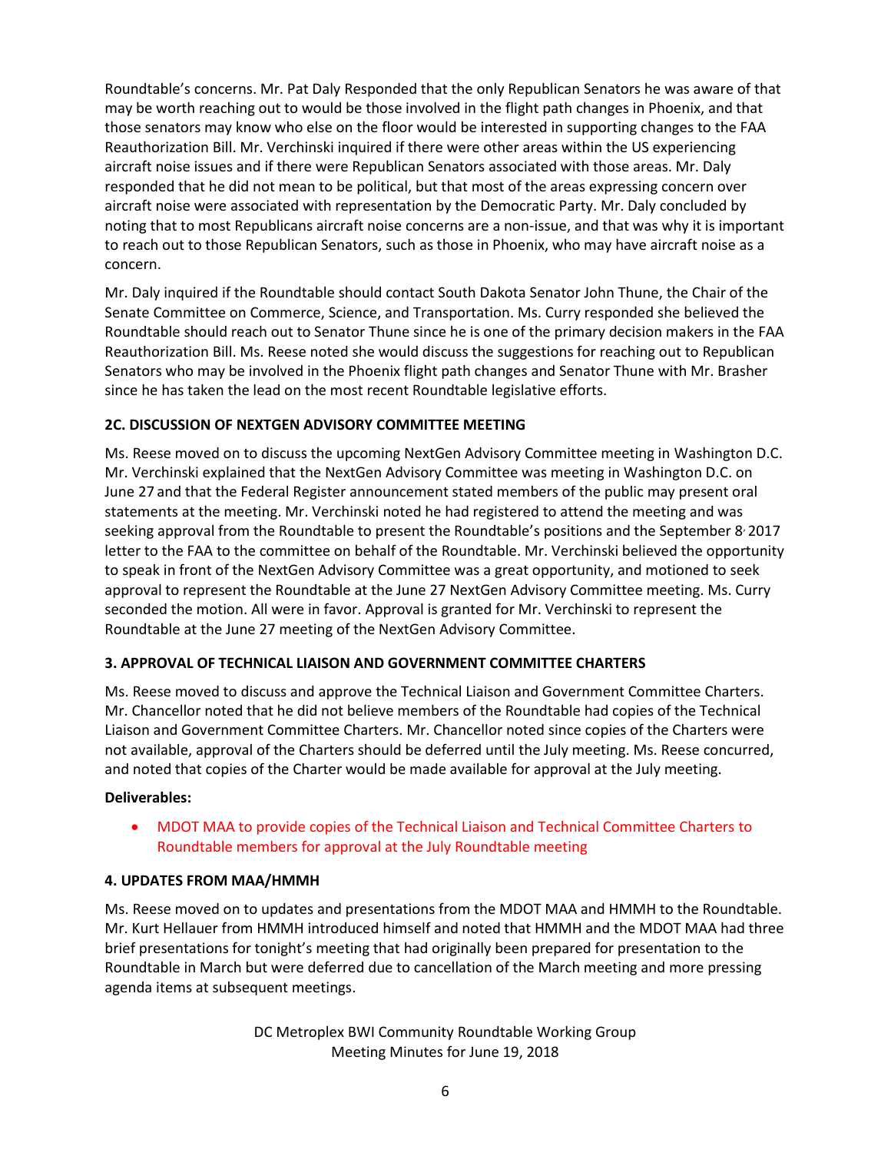Roundtable's concerns. Mr. Pat Daly Responded that the only Republican Senators he was aware of that may be worth reaching out to would be those involved in the flight path changes in Phoenix, and that those senators may know who else on the floor would be interested in supporting changes to the FAA Reauthorization Bill. Mr. Verchinski inquired if there were other areas within the US experiencing aircraft noise issues and if there were Republican Senators associated with those areas. Mr. Daly responded that he did not mean to be political, but that most of the areas expressing concern over aircraft noise were associated with representation by the Democratic Party. Mr. Daly concluded by noting that to most Republicans aircraft noise concerns are a non-issue, and that was why it is important to reach out to those Republican Senators, such as those in Phoenix, who may have aircraft noise as a concern.

Mr. Daly inquired if the Roundtable should contact South Dakota Senator John Thune, the Chair of the Senate Committee on Commerce, Science, and Transportation. Ms. Curry responded she believed the Roundtable should reach out to Senator Thune since he is one of the primary decision makers in the FAA Reauthorization Bill. Ms. Reese noted she would discuss the suggestions for reaching out to Republican Senators who may be involved in the Phoenix flight path changes and Senator Thune with Mr. Brasher since he has taken the lead on the most recent Roundtable legislative efforts.

# **2C. DISCUSSION OF NEXTGEN ADVISORY COMMITTEE MEETING**

Ms. Reese moved on to discuss the upcoming NextGen Advisory Committee meeting in Washington D.C. Mr. Verchinski explained that the NextGen Advisory Committee was meeting in Washington D.C. on June 27 and that the Federal Register announcement stated members of the public may present oral statements at the meeting. Mr. Verchinski noted he had registered to attend the meeting and was seeking approval from the Roundtable to present the Roundtable's positions and the September 8 2017 letter to the FAA to the committee on behalf of the Roundtable. Mr. Verchinski believed the opportunity to speak in front of the NextGen Advisory Committee was a great opportunity, and motioned to seek approval to represent the Roundtable at the June 27 NextGen Advisory Committee meeting. Ms. Curry seconded the motion. All were in favor. Approval is granted for Mr. Verchinski to represent the Roundtable at the June 27 meeting of the NextGen Advisory Committee.

### **3. APPROVAL OF TECHNICAL LIAISON AND GOVERNMENT COMMITTEE CHARTERS**

Ms. Reese moved to discuss and approve the Technical Liaison and Government Committee Charters. Mr. Chancellor noted that he did not believe members of the Roundtable had copies of the Technical Liaison and Government Committee Charters. Mr. Chancellor noted since copies of the Charters were not available, approval of the Charters should be deferred until the July meeting. Ms. Reese concurred, and noted that copies of the Charter would be made available for approval at the July meeting.

### **Deliverables:**

 MDOT MAA to provide copies of the Technical Liaison and Technical Committee Charters to Roundtable members for approval at the July Roundtable meeting

### **4. UPDATES FROM MAA/HMMH**

Ms. Reese moved on to updates and presentations from the MDOT MAA and HMMH to the Roundtable. Mr. Kurt Hellauer from HMMH introduced himself and noted that HMMH and the MDOT MAA had three brief presentations for tonight's meeting that had originally been prepared for presentation to the Roundtable in March but were deferred due to cancellation of the March meeting and more pressing agenda items at subsequent meetings.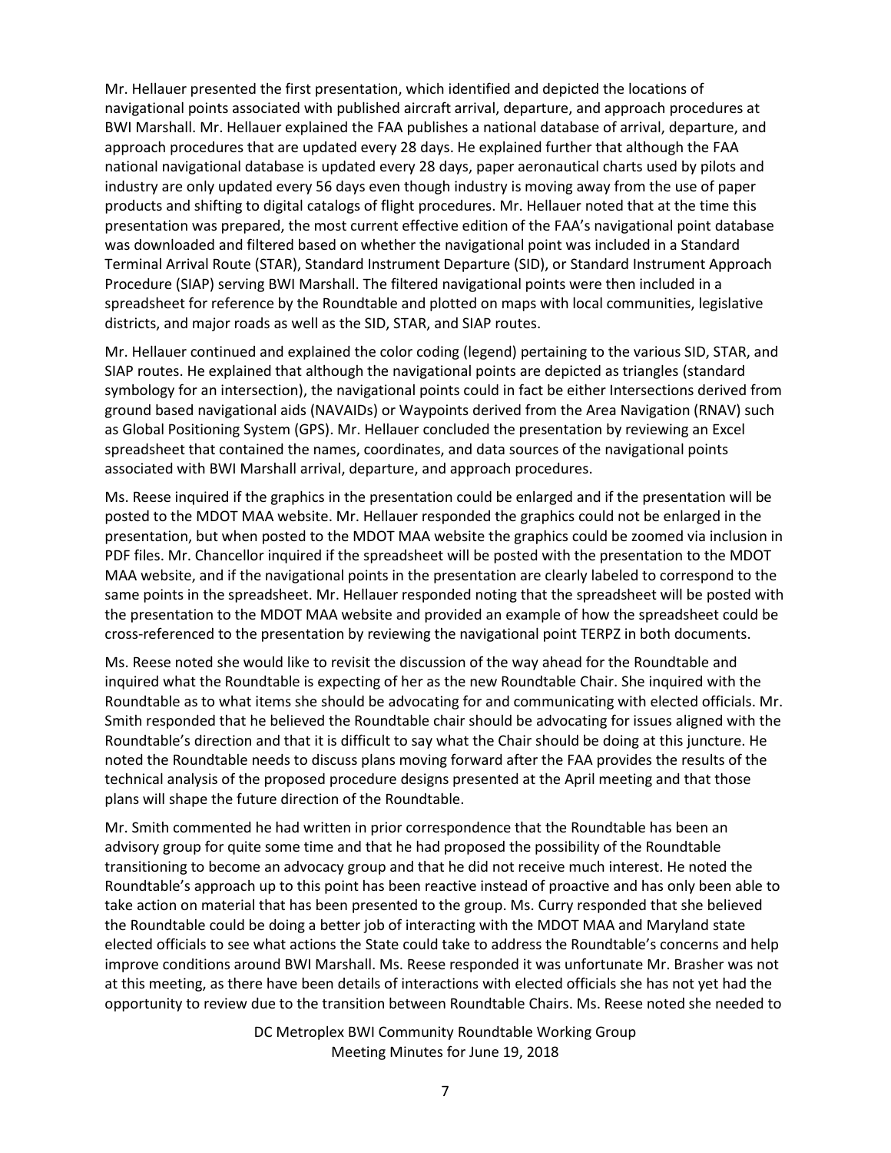Mr. Hellauer presented the first presentation, which identified and depicted the locations of navigational points associated with published aircraft arrival, departure, and approach procedures at BWI Marshall. Mr. Hellauer explained the FAA publishes a national database of arrival, departure, and approach procedures that are updated every 28 days. He explained further that although the FAA national navigational database is updated every 28 days, paper aeronautical charts used by pilots and industry are only updated every 56 days even though industry is moving away from the use of paper products and shifting to digital catalogs of flight procedures. Mr. Hellauer noted that at the time this presentation was prepared, the most current effective edition of the FAA's navigational point database was downloaded and filtered based on whether the navigational point was included in a Standard Terminal Arrival Route (STAR), Standard Instrument Departure (SID), or Standard Instrument Approach Procedure (SIAP) serving BWI Marshall. The filtered navigational points were then included in a spreadsheet for reference by the Roundtable and plotted on maps with local communities, legislative districts, and major roads as well as the SID, STAR, and SIAP routes.

Mr. Hellauer continued and explained the color coding (legend) pertaining to the various SID, STAR, and SIAP routes. He explained that although the navigational points are depicted as triangles (standard symbology for an intersection), the navigational points could in fact be either Intersections derived from ground based navigational aids (NAVAIDs) or Waypoints derived from the Area Navigation (RNAV) such as Global Positioning System (GPS). Mr. Hellauer concluded the presentation by reviewing an Excel spreadsheet that contained the names, coordinates, and data sources of the navigational points associated with BWI Marshall arrival, departure, and approach procedures.

Ms. Reese inquired if the graphics in the presentation could be enlarged and if the presentation will be posted to the MDOT MAA website. Mr. Hellauer responded the graphics could not be enlarged in the presentation, but when posted to the MDOT MAA website the graphics could be zoomed via inclusion in PDF files. Mr. Chancellor inquired if the spreadsheet will be posted with the presentation to the MDOT MAA website, and if the navigational points in the presentation are clearly labeled to correspond to the same points in the spreadsheet. Mr. Hellauer responded noting that the spreadsheet will be posted with the presentation to the MDOT MAA website and provided an example of how the spreadsheet could be cross-referenced to the presentation by reviewing the navigational point TERPZ in both documents.

Ms. Reese noted she would like to revisit the discussion of the way ahead for the Roundtable and inquired what the Roundtable is expecting of her as the new Roundtable Chair. She inquired with the Roundtable as to what items she should be advocating for and communicating with elected officials. Mr. Smith responded that he believed the Roundtable chair should be advocating for issues aligned with the Roundtable's direction and that it is difficult to say what the Chair should be doing at this juncture. He noted the Roundtable needs to discuss plans moving forward after the FAA provides the results of the technical analysis of the proposed procedure designs presented at the April meeting and that those plans will shape the future direction of the Roundtable.

Mr. Smith commented he had written in prior correspondence that the Roundtable has been an advisory group for quite some time and that he had proposed the possibility of the Roundtable transitioning to become an advocacy group and that he did not receive much interest. He noted the Roundtable's approach up to this point has been reactive instead of proactive and has only been able to take action on material that has been presented to the group. Ms. Curry responded that she believed the Roundtable could be doing a better job of interacting with the MDOT MAA and Maryland state elected officials to see what actions the State could take to address the Roundtable's concerns and help improve conditions around BWI Marshall. Ms. Reese responded it was unfortunate Mr. Brasher was not at this meeting, as there have been details of interactions with elected officials she has not yet had the opportunity to review due to the transition between Roundtable Chairs. Ms. Reese noted she needed to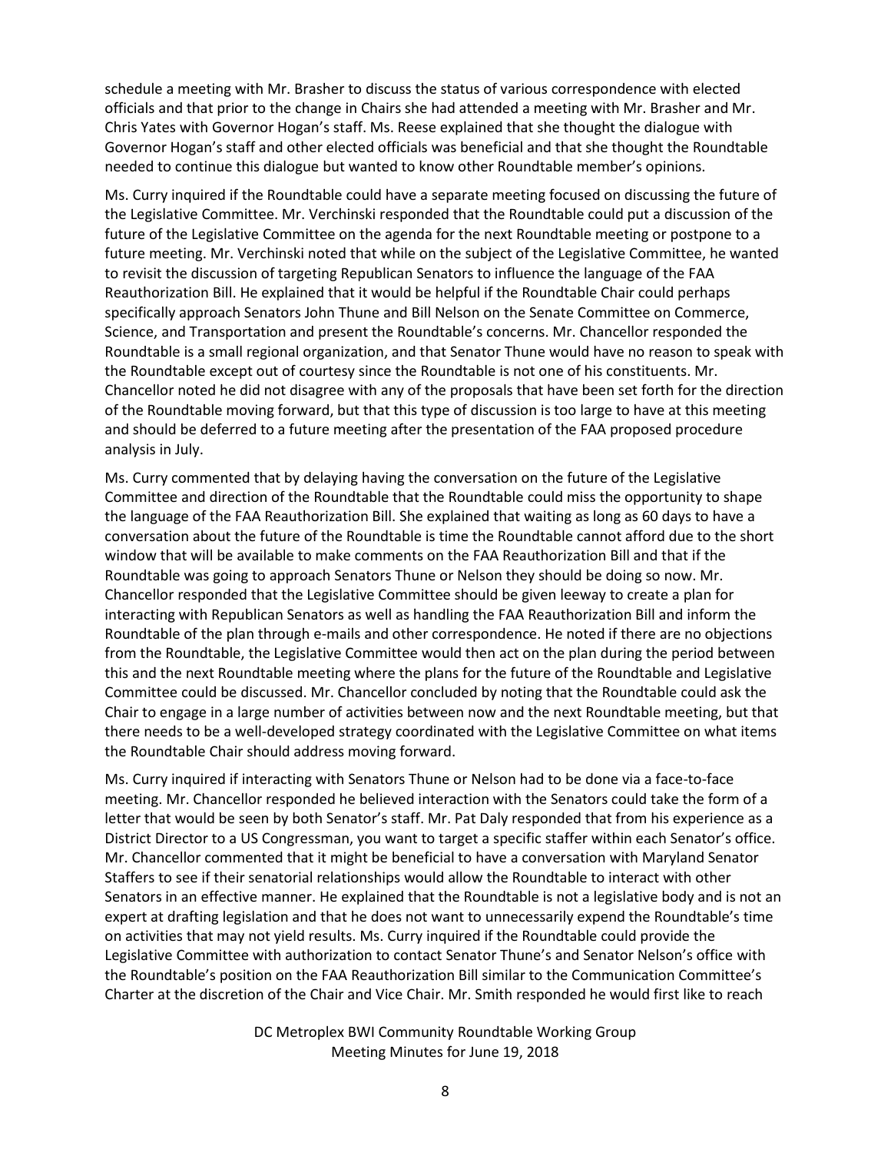schedule a meeting with Mr. Brasher to discuss the status of various correspondence with elected officials and that prior to the change in Chairs she had attended a meeting with Mr. Brasher and Mr. Chris Yates with Governor Hogan's staff. Ms. Reese explained that she thought the dialogue with Governor Hogan's staff and other elected officials was beneficial and that she thought the Roundtable needed to continue this dialogue but wanted to know other Roundtable member's opinions.

Ms. Curry inquired if the Roundtable could have a separate meeting focused on discussing the future of the Legislative Committee. Mr. Verchinski responded that the Roundtable could put a discussion of the future of the Legislative Committee on the agenda for the next Roundtable meeting or postpone to a future meeting. Mr. Verchinski noted that while on the subject of the Legislative Committee, he wanted to revisit the discussion of targeting Republican Senators to influence the language of the FAA Reauthorization Bill. He explained that it would be helpful if the Roundtable Chair could perhaps specifically approach Senators John Thune and Bill Nelson on the Senate Committee on Commerce, Science, and Transportation and present the Roundtable's concerns. Mr. Chancellor responded the Roundtable is a small regional organization, and that Senator Thune would have no reason to speak with the Roundtable except out of courtesy since the Roundtable is not one of his constituents. Mr. Chancellor noted he did not disagree with any of the proposals that have been set forth for the direction of the Roundtable moving forward, but that this type of discussion is too large to have at this meeting and should be deferred to a future meeting after the presentation of the FAA proposed procedure analysis in July.

Ms. Curry commented that by delaying having the conversation on the future of the Legislative Committee and direction of the Roundtable that the Roundtable could miss the opportunity to shape the language of the FAA Reauthorization Bill. She explained that waiting as long as 60 days to have a conversation about the future of the Roundtable is time the Roundtable cannot afford due to the short window that will be available to make comments on the FAA Reauthorization Bill and that if the Roundtable was going to approach Senators Thune or Nelson they should be doing so now. Mr. Chancellor responded that the Legislative Committee should be given leeway to create a plan for interacting with Republican Senators as well as handling the FAA Reauthorization Bill and inform the Roundtable of the plan through e-mails and other correspondence. He noted if there are no objections from the Roundtable, the Legislative Committee would then act on the plan during the period between this and the next Roundtable meeting where the plans for the future of the Roundtable and Legislative Committee could be discussed. Mr. Chancellor concluded by noting that the Roundtable could ask the Chair to engage in a large number of activities between now and the next Roundtable meeting, but that there needs to be a well-developed strategy coordinated with the Legislative Committee on what items the Roundtable Chair should address moving forward.

Ms. Curry inquired if interacting with Senators Thune or Nelson had to be done via a face-to-face meeting. Mr. Chancellor responded he believed interaction with the Senators could take the form of a letter that would be seen by both Senator's staff. Mr. Pat Daly responded that from his experience as a District Director to a US Congressman, you want to target a specific staffer within each Senator's office. Mr. Chancellor commented that it might be beneficial to have a conversation with Maryland Senator Staffers to see if their senatorial relationships would allow the Roundtable to interact with other Senators in an effective manner. He explained that the Roundtable is not a legislative body and is not an expert at drafting legislation and that he does not want to unnecessarily expend the Roundtable's time on activities that may not yield results. Ms. Curry inquired if the Roundtable could provide the Legislative Committee with authorization to contact Senator Thune's and Senator Nelson's office with the Roundtable's position on the FAA Reauthorization Bill similar to the Communication Committee's Charter at the discretion of the Chair and Vice Chair. Mr. Smith responded he would first like to reach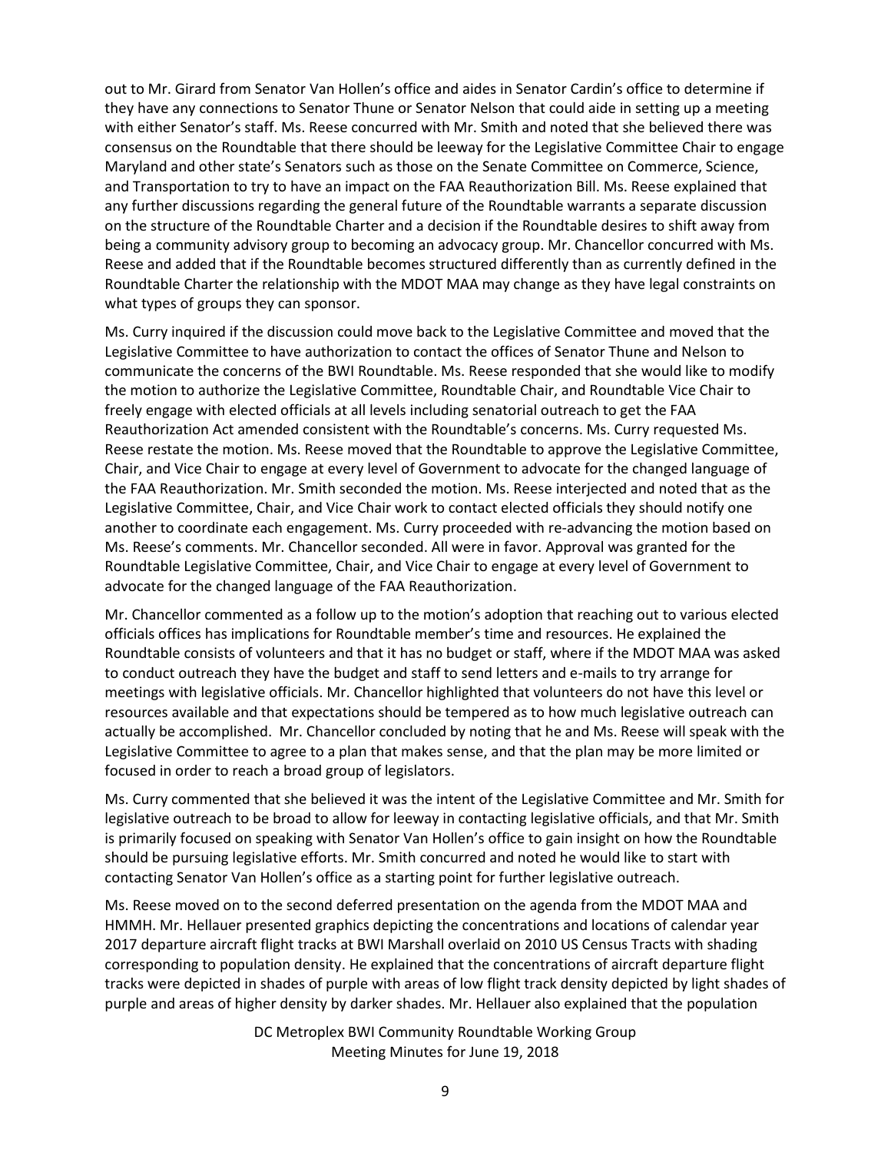out to Mr. Girard from Senator Van Hollen's office and aides in Senator Cardin's office to determine if they have any connections to Senator Thune or Senator Nelson that could aide in setting up a meeting with either Senator's staff. Ms. Reese concurred with Mr. Smith and noted that she believed there was consensus on the Roundtable that there should be leeway for the Legislative Committee Chair to engage Maryland and other state's Senators such as those on the Senate Committee on Commerce, Science, and Transportation to try to have an impact on the FAA Reauthorization Bill. Ms. Reese explained that any further discussions regarding the general future of the Roundtable warrants a separate discussion on the structure of the Roundtable Charter and a decision if the Roundtable desires to shift away from being a community advisory group to becoming an advocacy group. Mr. Chancellor concurred with Ms. Reese and added that if the Roundtable becomes structured differently than as currently defined in the Roundtable Charter the relationship with the MDOT MAA may change as they have legal constraints on what types of groups they can sponsor.

Ms. Curry inquired if the discussion could move back to the Legislative Committee and moved that the Legislative Committee to have authorization to contact the offices of Senator Thune and Nelson to communicate the concerns of the BWI Roundtable. Ms. Reese responded that she would like to modify the motion to authorize the Legislative Committee, Roundtable Chair, and Roundtable Vice Chair to freely engage with elected officials at all levels including senatorial outreach to get the FAA Reauthorization Act amended consistent with the Roundtable's concerns. Ms. Curry requested Ms. Reese restate the motion. Ms. Reese moved that the Roundtable to approve the Legislative Committee, Chair, and Vice Chair to engage at every level of Government to advocate for the changed language of the FAA Reauthorization. Mr. Smith seconded the motion. Ms. Reese interjected and noted that as the Legislative Committee, Chair, and Vice Chair work to contact elected officials they should notify one another to coordinate each engagement. Ms. Curry proceeded with re-advancing the motion based on Ms. Reese's comments. Mr. Chancellor seconded. All were in favor. Approval was granted for the Roundtable Legislative Committee, Chair, and Vice Chair to engage at every level of Government to advocate for the changed language of the FAA Reauthorization.

Mr. Chancellor commented as a follow up to the motion's adoption that reaching out to various elected officials offices has implications for Roundtable member's time and resources. He explained the Roundtable consists of volunteers and that it has no budget or staff, where if the MDOT MAA was asked to conduct outreach they have the budget and staff to send letters and e-mails to try arrange for meetings with legislative officials. Mr. Chancellor highlighted that volunteers do not have this level or resources available and that expectations should be tempered as to how much legislative outreach can actually be accomplished. Mr. Chancellor concluded by noting that he and Ms. Reese will speak with the Legislative Committee to agree to a plan that makes sense, and that the plan may be more limited or focused in order to reach a broad group of legislators.

Ms. Curry commented that she believed it was the intent of the Legislative Committee and Mr. Smith for legislative outreach to be broad to allow for leeway in contacting legislative officials, and that Mr. Smith is primarily focused on speaking with Senator Van Hollen's office to gain insight on how the Roundtable should be pursuing legislative efforts. Mr. Smith concurred and noted he would like to start with contacting Senator Van Hollen's office as a starting point for further legislative outreach.

Ms. Reese moved on to the second deferred presentation on the agenda from the MDOT MAA and HMMH. Mr. Hellauer presented graphics depicting the concentrations and locations of calendar year 2017 departure aircraft flight tracks at BWI Marshall overlaid on 2010 US Census Tracts with shading corresponding to population density. He explained that the concentrations of aircraft departure flight tracks were depicted in shades of purple with areas of low flight track density depicted by light shades of purple and areas of higher density by darker shades. Mr. Hellauer also explained that the population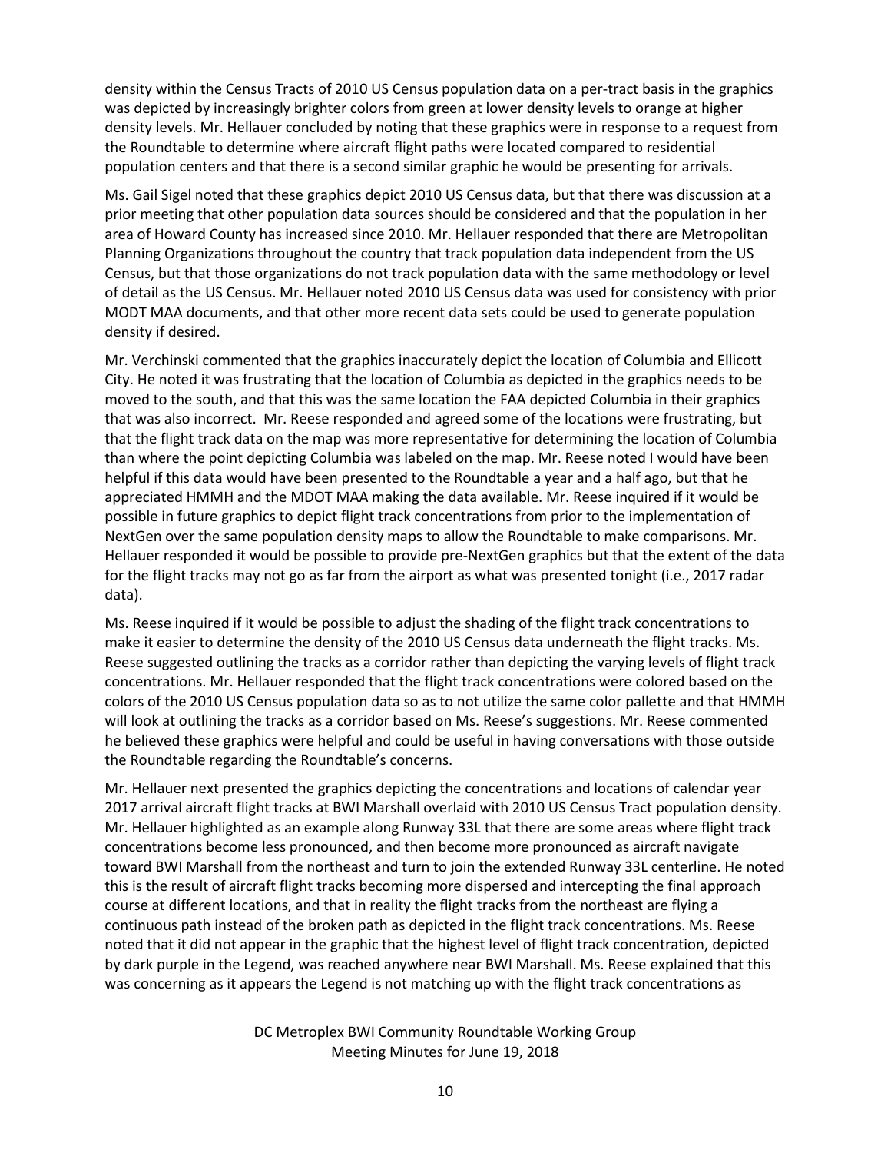density within the Census Tracts of 2010 US Census population data on a per-tract basis in the graphics was depicted by increasingly brighter colors from green at lower density levels to orange at higher density levels. Mr. Hellauer concluded by noting that these graphics were in response to a request from the Roundtable to determine where aircraft flight paths were located compared to residential population centers and that there is a second similar graphic he would be presenting for arrivals.

Ms. Gail Sigel noted that these graphics depict 2010 US Census data, but that there was discussion at a prior meeting that other population data sources should be considered and that the population in her area of Howard County has increased since 2010. Mr. Hellauer responded that there are Metropolitan Planning Organizations throughout the country that track population data independent from the US Census, but that those organizations do not track population data with the same methodology or level of detail as the US Census. Mr. Hellauer noted 2010 US Census data was used for consistency with prior MODT MAA documents, and that other more recent data sets could be used to generate population density if desired.

Mr. Verchinski commented that the graphics inaccurately depict the location of Columbia and Ellicott City. He noted it was frustrating that the location of Columbia as depicted in the graphics needs to be moved to the south, and that this was the same location the FAA depicted Columbia in their graphics that was also incorrect. Mr. Reese responded and agreed some of the locations were frustrating, but that the flight track data on the map was more representative for determining the location of Columbia than where the point depicting Columbia was labeled on the map. Mr. Reese noted I would have been helpful if this data would have been presented to the Roundtable a year and a half ago, but that he appreciated HMMH and the MDOT MAA making the data available. Mr. Reese inquired if it would be possible in future graphics to depict flight track concentrations from prior to the implementation of NextGen over the same population density maps to allow the Roundtable to make comparisons. Mr. Hellauer responded it would be possible to provide pre-NextGen graphics but that the extent of the data for the flight tracks may not go as far from the airport as what was presented tonight (i.e., 2017 radar data).

Ms. Reese inquired if it would be possible to adjust the shading of the flight track concentrations to make it easier to determine the density of the 2010 US Census data underneath the flight tracks. Ms. Reese suggested outlining the tracks as a corridor rather than depicting the varying levels of flight track concentrations. Mr. Hellauer responded that the flight track concentrations were colored based on the colors of the 2010 US Census population data so as to not utilize the same color pallette and that HMMH will look at outlining the tracks as a corridor based on Ms. Reese's suggestions. Mr. Reese commented he believed these graphics were helpful and could be useful in having conversations with those outside the Roundtable regarding the Roundtable's concerns.

Mr. Hellauer next presented the graphics depicting the concentrations and locations of calendar year 2017 arrival aircraft flight tracks at BWI Marshall overlaid with 2010 US Census Tract population density. Mr. Hellauer highlighted as an example along Runway 33L that there are some areas where flight track concentrations become less pronounced, and then become more pronounced as aircraft navigate toward BWI Marshall from the northeast and turn to join the extended Runway 33L centerline. He noted this is the result of aircraft flight tracks becoming more dispersed and intercepting the final approach course at different locations, and that in reality the flight tracks from the northeast are flying a continuous path instead of the broken path as depicted in the flight track concentrations. Ms. Reese noted that it did not appear in the graphic that the highest level of flight track concentration, depicted by dark purple in the Legend, was reached anywhere near BWI Marshall. Ms. Reese explained that this was concerning as it appears the Legend is not matching up with the flight track concentrations as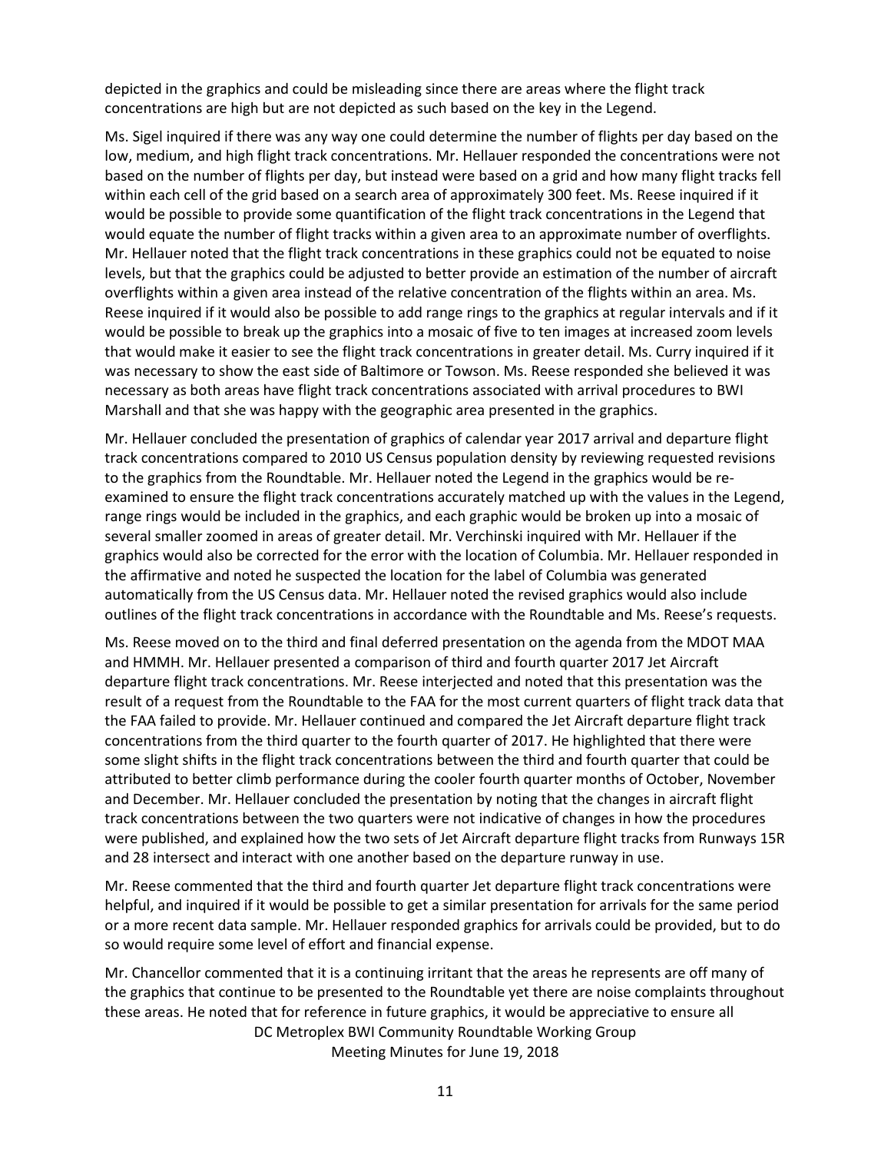depicted in the graphics and could be misleading since there are areas where the flight track concentrations are high but are not depicted as such based on the key in the Legend.

Ms. Sigel inquired if there was any way one could determine the number of flights per day based on the low, medium, and high flight track concentrations. Mr. Hellauer responded the concentrations were not based on the number of flights per day, but instead were based on a grid and how many flight tracks fell within each cell of the grid based on a search area of approximately 300 feet. Ms. Reese inquired if it would be possible to provide some quantification of the flight track concentrations in the Legend that would equate the number of flight tracks within a given area to an approximate number of overflights. Mr. Hellauer noted that the flight track concentrations in these graphics could not be equated to noise levels, but that the graphics could be adjusted to better provide an estimation of the number of aircraft overflights within a given area instead of the relative concentration of the flights within an area. Ms. Reese inquired if it would also be possible to add range rings to the graphics at regular intervals and if it would be possible to break up the graphics into a mosaic of five to ten images at increased zoom levels that would make it easier to see the flight track concentrations in greater detail. Ms. Curry inquired if it was necessary to show the east side of Baltimore or Towson. Ms. Reese responded she believed it was necessary as both areas have flight track concentrations associated with arrival procedures to BWI Marshall and that she was happy with the geographic area presented in the graphics.

Mr. Hellauer concluded the presentation of graphics of calendar year 2017 arrival and departure flight track concentrations compared to 2010 US Census population density by reviewing requested revisions to the graphics from the Roundtable. Mr. Hellauer noted the Legend in the graphics would be reexamined to ensure the flight track concentrations accurately matched up with the values in the Legend, range rings would be included in the graphics, and each graphic would be broken up into a mosaic of several smaller zoomed in areas of greater detail. Mr. Verchinski inquired with Mr. Hellauer if the graphics would also be corrected for the error with the location of Columbia. Mr. Hellauer responded in the affirmative and noted he suspected the location for the label of Columbia was generated automatically from the US Census data. Mr. Hellauer noted the revised graphics would also include outlines of the flight track concentrations in accordance with the Roundtable and Ms. Reese's requests.

Ms. Reese moved on to the third and final deferred presentation on the agenda from the MDOT MAA and HMMH. Mr. Hellauer presented a comparison of third and fourth quarter 2017 Jet Aircraft departure flight track concentrations. Mr. Reese interjected and noted that this presentation was the result of a request from the Roundtable to the FAA for the most current quarters of flight track data that the FAA failed to provide. Mr. Hellauer continued and compared the Jet Aircraft departure flight track concentrations from the third quarter to the fourth quarter of 2017. He highlighted that there were some slight shifts in the flight track concentrations between the third and fourth quarter that could be attributed to better climb performance during the cooler fourth quarter months of October, November and December. Mr. Hellauer concluded the presentation by noting that the changes in aircraft flight track concentrations between the two quarters were not indicative of changes in how the procedures were published, and explained how the two sets of Jet Aircraft departure flight tracks from Runways 15R and 28 intersect and interact with one another based on the departure runway in use.

Mr. Reese commented that the third and fourth quarter Jet departure flight track concentrations were helpful, and inquired if it would be possible to get a similar presentation for arrivals for the same period or a more recent data sample. Mr. Hellauer responded graphics for arrivals could be provided, but to do so would require some level of effort and financial expense.

DC Metroplex BWI Community Roundtable Working Group Meeting Minutes for June 19, 2018 Mr. Chancellor commented that it is a continuing irritant that the areas he represents are off many of the graphics that continue to be presented to the Roundtable yet there are noise complaints throughout these areas. He noted that for reference in future graphics, it would be appreciative to ensure all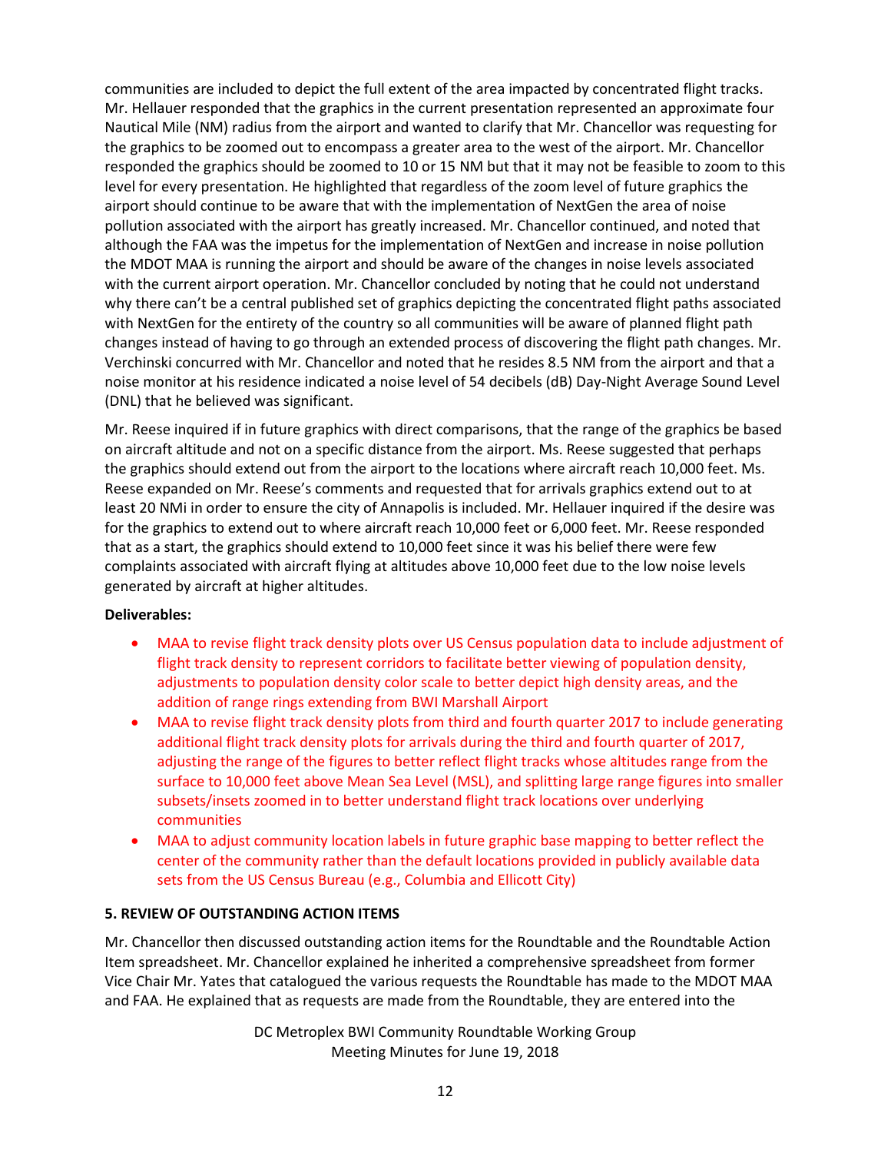communities are included to depict the full extent of the area impacted by concentrated flight tracks. Mr. Hellauer responded that the graphics in the current presentation represented an approximate four Nautical Mile (NM) radius from the airport and wanted to clarify that Mr. Chancellor was requesting for the graphics to be zoomed out to encompass a greater area to the west of the airport. Mr. Chancellor responded the graphics should be zoomed to 10 or 15 NM but that it may not be feasible to zoom to this level for every presentation. He highlighted that regardless of the zoom level of future graphics the airport should continue to be aware that with the implementation of NextGen the area of noise pollution associated with the airport has greatly increased. Mr. Chancellor continued, and noted that although the FAA was the impetus for the implementation of NextGen and increase in noise pollution the MDOT MAA is running the airport and should be aware of the changes in noise levels associated with the current airport operation. Mr. Chancellor concluded by noting that he could not understand why there can't be a central published set of graphics depicting the concentrated flight paths associated with NextGen for the entirety of the country so all communities will be aware of planned flight path changes instead of having to go through an extended process of discovering the flight path changes. Mr. Verchinski concurred with Mr. Chancellor and noted that he resides 8.5 NM from the airport and that a noise monitor at his residence indicated a noise level of 54 decibels (dB) Day-Night Average Sound Level (DNL) that he believed was significant.

Mr. Reese inquired if in future graphics with direct comparisons, that the range of the graphics be based on aircraft altitude and not on a specific distance from the airport. Ms. Reese suggested that perhaps the graphics should extend out from the airport to the locations where aircraft reach 10,000 feet. Ms. Reese expanded on Mr. Reese's comments and requested that for arrivals graphics extend out to at least 20 NMi in order to ensure the city of Annapolis is included. Mr. Hellauer inquired if the desire was for the graphics to extend out to where aircraft reach 10,000 feet or 6,000 feet. Mr. Reese responded that as a start, the graphics should extend to 10,000 feet since it was his belief there were few complaints associated with aircraft flying at altitudes above 10,000 feet due to the low noise levels generated by aircraft at higher altitudes.

# **Deliverables:**

- MAA to revise flight track density plots over US Census population data to include adjustment of flight track density to represent corridors to facilitate better viewing of population density, adjustments to population density color scale to better depict high density areas, and the addition of range rings extending from BWI Marshall Airport
- MAA to revise flight track density plots from third and fourth quarter 2017 to include generating additional flight track density plots for arrivals during the third and fourth quarter of 2017, adjusting the range of the figures to better reflect flight tracks whose altitudes range from the surface to 10,000 feet above Mean Sea Level (MSL), and splitting large range figures into smaller subsets/insets zoomed in to better understand flight track locations over underlying communities
- MAA to adjust community location labels in future graphic base mapping to better reflect the center of the community rather than the default locations provided in publicly available data sets from the US Census Bureau (e.g., Columbia and Ellicott City)

# **5. REVIEW OF OUTSTANDING ACTION ITEMS**

Mr. Chancellor then discussed outstanding action items for the Roundtable and the Roundtable Action Item spreadsheet. Mr. Chancellor explained he inherited a comprehensive spreadsheet from former Vice Chair Mr. Yates that catalogued the various requests the Roundtable has made to the MDOT MAA and FAA. He explained that as requests are made from the Roundtable, they are entered into the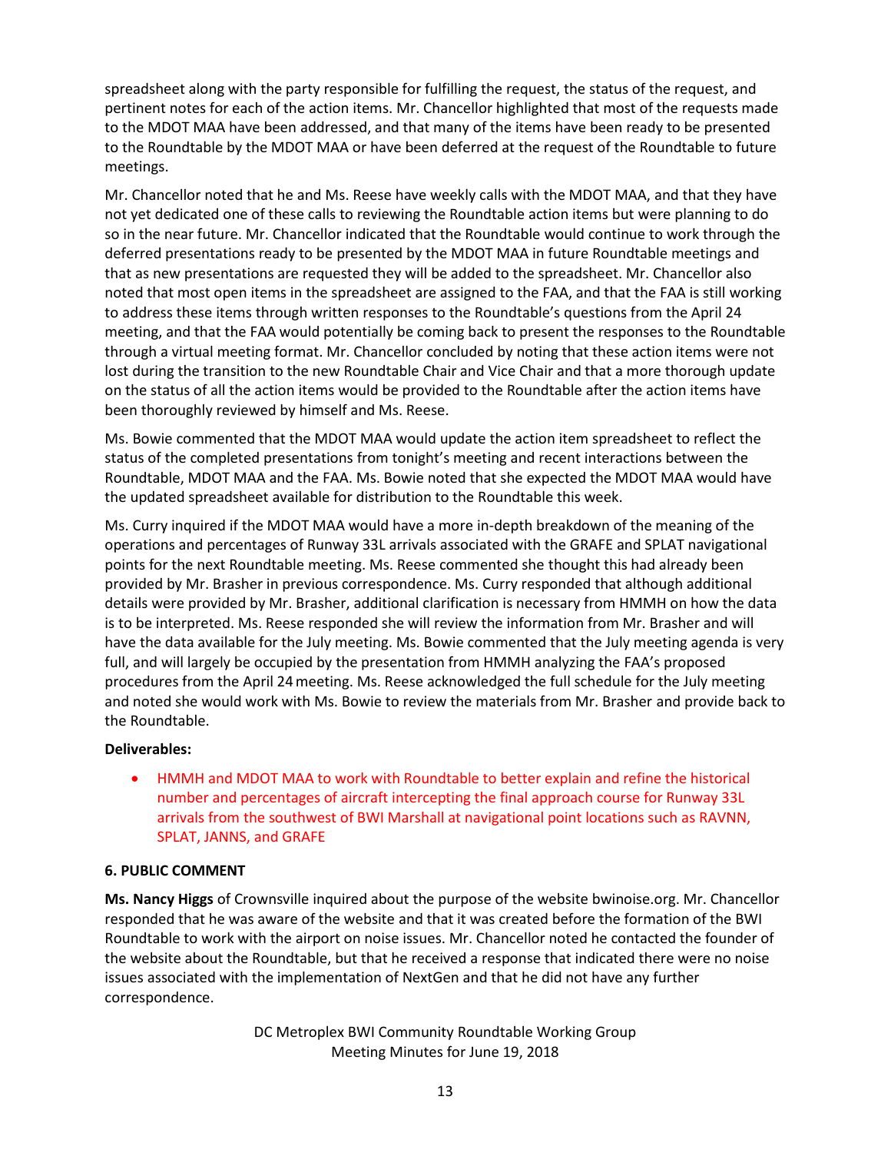spreadsheet along with the party responsible for fulfilling the request, the status of the request, and pertinent notes for each of the action items. Mr. Chancellor highlighted that most of the requests made to the MDOT MAA have been addressed, and that many of the items have been ready to be presented to the Roundtable by the MDOT MAA or have been deferred at the request of the Roundtable to future meetings.

Mr. Chancellor noted that he and Ms. Reese have weekly calls with the MDOT MAA, and that they have not yet dedicated one of these calls to reviewing the Roundtable action items but were planning to do so in the near future. Mr. Chancellor indicated that the Roundtable would continue to work through the deferred presentations ready to be presented by the MDOT MAA in future Roundtable meetings and that as new presentations are requested they will be added to the spreadsheet. Mr. Chancellor also noted that most open items in the spreadsheet are assigned to the FAA, and that the FAA is still working to address these items through written responses to the Roundtable's questions from the April 24 meeting, and that the FAA would potentially be coming back to present the responses to the Roundtable through a virtual meeting format. Mr. Chancellor concluded by noting that these action items were not lost during the transition to the new Roundtable Chair and Vice Chair and that a more thorough update on the status of all the action items would be provided to the Roundtable after the action items have been thoroughly reviewed by himself and Ms. Reese.

Ms. Bowie commented that the MDOT MAA would update the action item spreadsheet to reflect the status of the completed presentations from tonight's meeting and recent interactions between the Roundtable, MDOT MAA and the FAA. Ms. Bowie noted that she expected the MDOT MAA would have the updated spreadsheet available for distribution to the Roundtable this week.

Ms. Curry inquired if the MDOT MAA would have a more in-depth breakdown of the meaning of the operations and percentages of Runway 33L arrivals associated with the GRAFE and SPLAT navigational points for the next Roundtable meeting. Ms. Reese commented she thought this had already been provided by Mr. Brasher in previous correspondence. Ms. Curry responded that although additional details were provided by Mr. Brasher, additional clarification is necessary from HMMH on how the data is to be interpreted. Ms. Reese responded she will review the information from Mr. Brasher and will have the data available for the July meeting. Ms. Bowie commented that the July meeting agenda is very full, and will largely be occupied by the presentation from HMMH analyzing the FAA's proposed procedures from the April 24meeting. Ms. Reese acknowledged the full schedule for the July meeting and noted she would work with Ms. Bowie to review the materials from Mr. Brasher and provide back to the Roundtable.

### **Deliverables:**

 HMMH and MDOT MAA to work with Roundtable to better explain and refine the historical number and percentages of aircraft intercepting the final approach course for Runway 33L arrivals from the southwest of BWI Marshall at navigational point locations such as RAVNN, SPLAT, JANNS, and GRAFE

### **6. PUBLIC COMMENT**

**Ms. Nancy Higgs** of Crownsville inquired about the purpose of the website bwinoise.org. Mr. Chancellor responded that he was aware of the website and that it was created before the formation of the BWI Roundtable to work with the airport on noise issues. Mr. Chancellor noted he contacted the founder of the website about the Roundtable, but that he received a response that indicated there were no noise issues associated with the implementation of NextGen and that he did not have any further correspondence.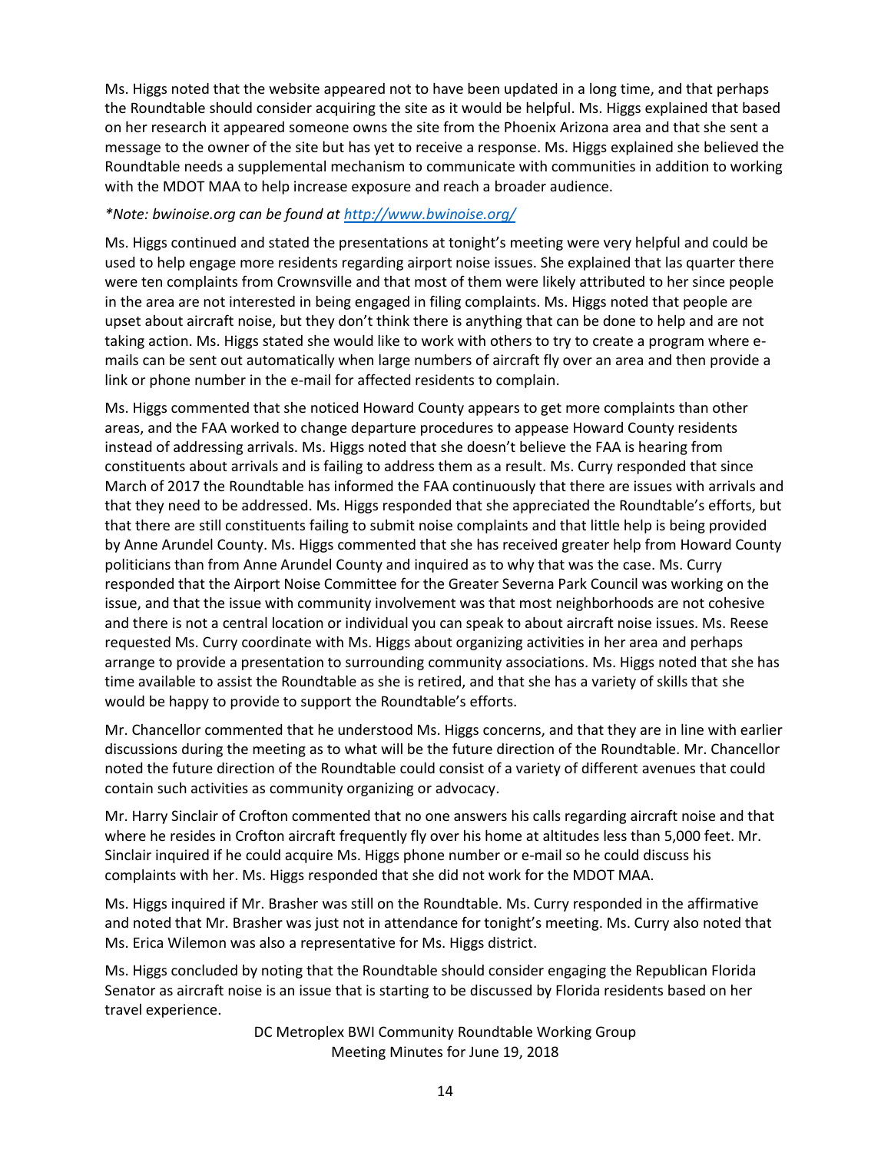Ms. Higgs noted that the website appeared not to have been updated in a long time, and that perhaps the Roundtable should consider acquiring the site as it would be helpful. Ms. Higgs explained that based on her research it appeared someone owns the site from the Phoenix Arizona area and that she sent a message to the owner of the site but has yet to receive a response. Ms. Higgs explained she believed the Roundtable needs a supplemental mechanism to communicate with communities in addition to working with the MDOT MAA to help increase exposure and reach a broader audience.

## *\*Note: bwinoise.org can be found at<http://www.bwinoise.org/>*

Ms. Higgs continued and stated the presentations at tonight's meeting were very helpful and could be used to help engage more residents regarding airport noise issues. She explained that las quarter there were ten complaints from Crownsville and that most of them were likely attributed to her since people in the area are not interested in being engaged in filing complaints. Ms. Higgs noted that people are upset about aircraft noise, but they don't think there is anything that can be done to help and are not taking action. Ms. Higgs stated she would like to work with others to try to create a program where emails can be sent out automatically when large numbers of aircraft fly over an area and then provide a link or phone number in the e-mail for affected residents to complain.

Ms. Higgs commented that she noticed Howard County appears to get more complaints than other areas, and the FAA worked to change departure procedures to appease Howard County residents instead of addressing arrivals. Ms. Higgs noted that she doesn't believe the FAA is hearing from constituents about arrivals and is failing to address them as a result. Ms. Curry responded that since March of 2017 the Roundtable has informed the FAA continuously that there are issues with arrivals and that they need to be addressed. Ms. Higgs responded that she appreciated the Roundtable's efforts, but that there are still constituents failing to submit noise complaints and that little help is being provided by Anne Arundel County. Ms. Higgs commented that she has received greater help from Howard County politicians than from Anne Arundel County and inquired as to why that was the case. Ms. Curry responded that the Airport Noise Committee for the Greater Severna Park Council was working on the issue, and that the issue with community involvement was that most neighborhoods are not cohesive and there is not a central location or individual you can speak to about aircraft noise issues. Ms. Reese requested Ms. Curry coordinate with Ms. Higgs about organizing activities in her area and perhaps arrange to provide a presentation to surrounding community associations. Ms. Higgs noted that she has time available to assist the Roundtable as she is retired, and that she has a variety of skills that she would be happy to provide to support the Roundtable's efforts.

Mr. Chancellor commented that he understood Ms. Higgs concerns, and that they are in line with earlier discussions during the meeting as to what will be the future direction of the Roundtable. Mr. Chancellor noted the future direction of the Roundtable could consist of a variety of different avenues that could contain such activities as community organizing or advocacy.

Mr. Harry Sinclair of Crofton commented that no one answers his calls regarding aircraft noise and that where he resides in Crofton aircraft frequently fly over his home at altitudes less than 5,000 feet. Mr. Sinclair inquired if he could acquire Ms. Higgs phone number or e-mail so he could discuss his complaints with her. Ms. Higgs responded that she did not work for the MDOT MAA.

Ms. Higgs inquired if Mr. Brasher was still on the Roundtable. Ms. Curry responded in the affirmative and noted that Mr. Brasher was just not in attendance for tonight's meeting. Ms. Curry also noted that Ms. Erica Wilemon was also a representative for Ms. Higgs district.

Ms. Higgs concluded by noting that the Roundtable should consider engaging the Republican Florida Senator as aircraft noise is an issue that is starting to be discussed by Florida residents based on her travel experience.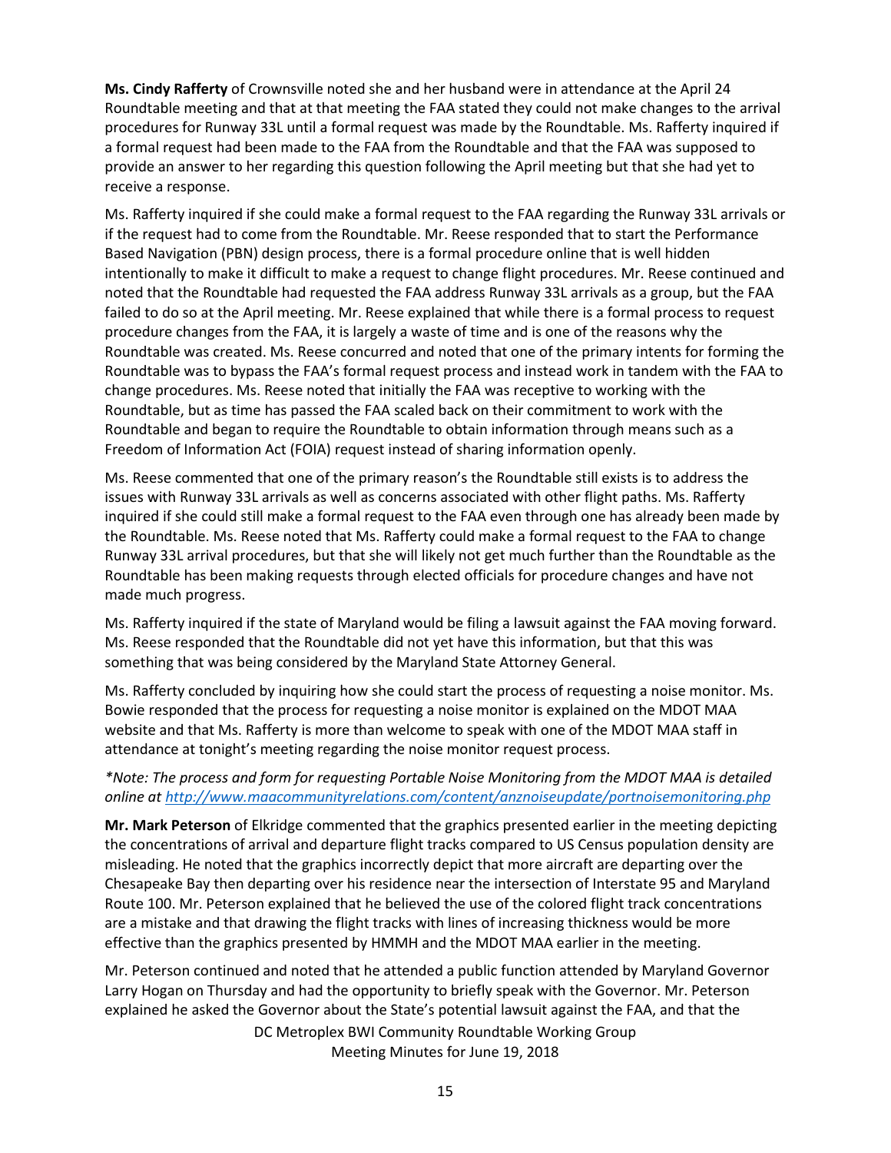**Ms. Cindy Rafferty** of Crownsville noted she and her husband were in attendance at the April 24 Roundtable meeting and that at that meeting the FAA stated they could not make changes to the arrival procedures for Runway 33L until a formal request was made by the Roundtable. Ms. Rafferty inquired if a formal request had been made to the FAA from the Roundtable and that the FAA was supposed to provide an answer to her regarding this question following the April meeting but that she had yet to receive a response.

Ms. Rafferty inquired if she could make a formal request to the FAA regarding the Runway 33L arrivals or if the request had to come from the Roundtable. Mr. Reese responded that to start the Performance Based Navigation (PBN) design process, there is a formal procedure online that is well hidden intentionally to make it difficult to make a request to change flight procedures. Mr. Reese continued and noted that the Roundtable had requested the FAA address Runway 33L arrivals as a group, but the FAA failed to do so at the April meeting. Mr. Reese explained that while there is a formal process to request procedure changes from the FAA, it is largely a waste of time and is one of the reasons why the Roundtable was created. Ms. Reese concurred and noted that one of the primary intents for forming the Roundtable was to bypass the FAA's formal request process and instead work in tandem with the FAA to change procedures. Ms. Reese noted that initially the FAA was receptive to working with the Roundtable, but as time has passed the FAA scaled back on their commitment to work with the Roundtable and began to require the Roundtable to obtain information through means such as a Freedom of Information Act (FOIA) request instead of sharing information openly.

Ms. Reese commented that one of the primary reason's the Roundtable still exists is to address the issues with Runway 33L arrivals as well as concerns associated with other flight paths. Ms. Rafferty inquired if she could still make a formal request to the FAA even through one has already been made by the Roundtable. Ms. Reese noted that Ms. Rafferty could make a formal request to the FAA to change Runway 33L arrival procedures, but that she will likely not get much further than the Roundtable as the Roundtable has been making requests through elected officials for procedure changes and have not made much progress.

Ms. Rafferty inquired if the state of Maryland would be filing a lawsuit against the FAA moving forward. Ms. Reese responded that the Roundtable did not yet have this information, but that this was something that was being considered by the Maryland State Attorney General.

Ms. Rafferty concluded by inquiring how she could start the process of requesting a noise monitor. Ms. Bowie responded that the process for requesting a noise monitor is explained on the MDOT MAA website and that Ms. Rafferty is more than welcome to speak with one of the MDOT MAA staff in attendance at tonight's meeting regarding the noise monitor request process.

## *\*Note: The process and form for requesting Portable Noise Monitoring from the MDOT MAA is detailed online a[t http://www.maacommunityrelations.com/content/anznoiseupdate/portnoisemonitoring.php](http://www.maacommunityrelations.com/content/anznoiseupdate/portnoisemonitoring.php)*

**Mr. Mark Peterson** of Elkridge commented that the graphics presented earlier in the meeting depicting the concentrations of arrival and departure flight tracks compared to US Census population density are misleading. He noted that the graphics incorrectly depict that more aircraft are departing over the Chesapeake Bay then departing over his residence near the intersection of Interstate 95 and Maryland Route 100. Mr. Peterson explained that he believed the use of the colored flight track concentrations are a mistake and that drawing the flight tracks with lines of increasing thickness would be more effective than the graphics presented by HMMH and the MDOT MAA earlier in the meeting.

Mr. Peterson continued and noted that he attended a public function attended by Maryland Governor Larry Hogan on Thursday and had the opportunity to briefly speak with the Governor. Mr. Peterson explained he asked the Governor about the State's potential lawsuit against the FAA, and that the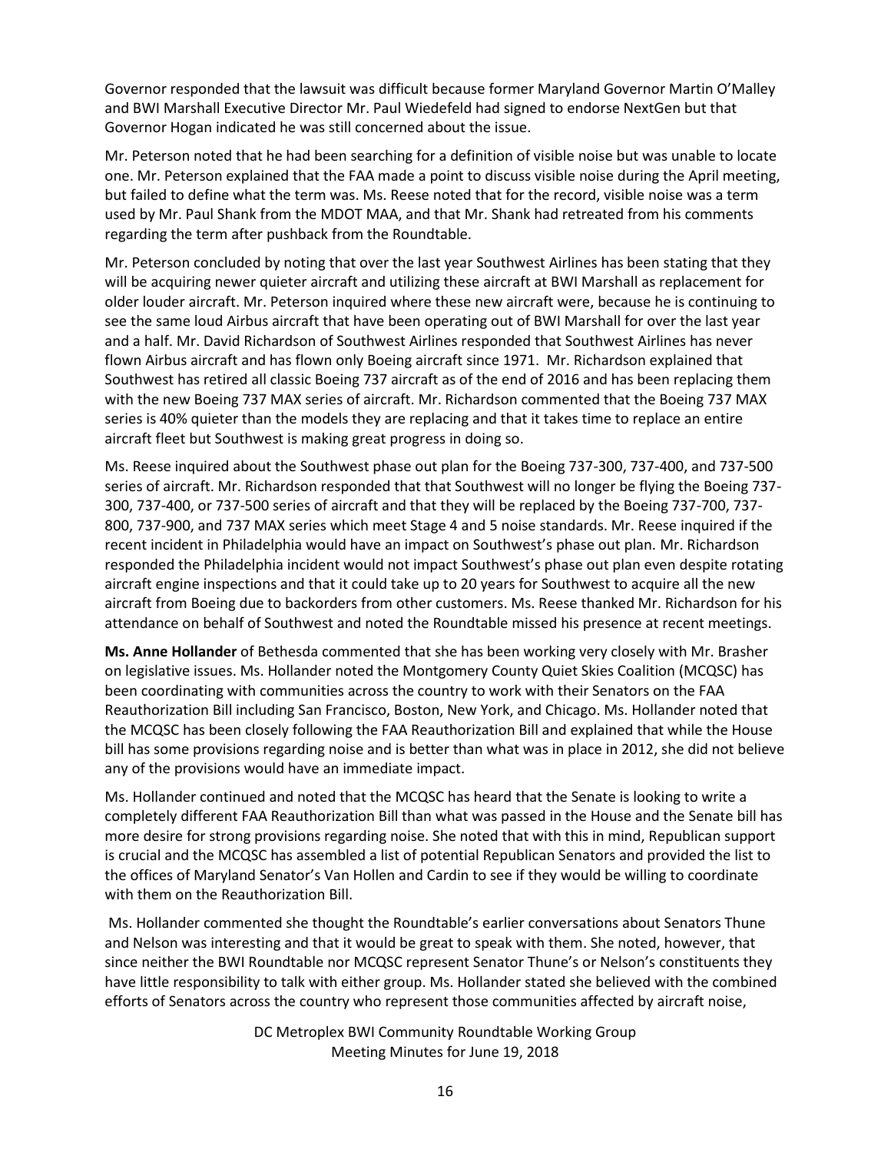Governor responded that the lawsuit was difficult because former Maryland Governor Martin O'Malley and BWI Marshall Executive Director Mr. Paul Wiedefeld had signed to endorse NextGen but that Governor Hogan indicated he was still concerned about the issue.

Mr. Peterson noted that he had been searching for a definition of visible noise but was unable to locate one. Mr. Peterson explained that the FAA made a point to discuss visible noise during the April meeting, but failed to define what the term was. Ms. Reese noted that for the record, visible noise was a term used by Mr. Paul Shank from the MDOT MAA, and that Mr. Shank had retreated from his comments regarding the term after pushback from the Roundtable.

Mr. Peterson concluded by noting that over the last year Southwest Airlines has been stating that they will be acquiring newer quieter aircraft and utilizing these aircraft at BWI Marshall as replacement for older louder aircraft. Mr. Peterson inquired where these new aircraft were, because he is continuing to see the same loud Airbus aircraft that have been operating out of BWI Marshall for over the last year and a half. Mr. David Richardson of Southwest Airlines responded that Southwest Airlines has never flown Airbus aircraft and has flown only Boeing aircraft since 1971. Mr. Richardson explained that Southwest has retired all classic Boeing 737 aircraft as of the end of 2016 and has been replacing them with the new Boeing 737 MAX series of aircraft. Mr. Richardson commented that the Boeing 737 MAX series is 40% quieter than the models they are replacing and that it takes time to replace an entire aircraft fleet but Southwest is making great progress in doing so.

Ms. Reese inquired about the Southwest phase out plan for the Boeing 737-300, 737-400, and 737-500 series of aircraft. Mr. Richardson responded that that Southwest will no longer be flying the Boeing 737- 300, 737-400, or 737-500 series of aircraft and that they will be replaced by the Boeing 737-700, 737- 800, 737-900, and 737 MAX series which meet Stage 4 and 5 noise standards. Mr. Reese inquired if the recent incident in Philadelphia would have an impact on Southwest's phase out plan. Mr. Richardson responded the Philadelphia incident would not impact Southwest's phase out plan even despite rotating aircraft engine inspections and that it could take up to 20 years for Southwest to acquire all the new aircraft from Boeing due to backorders from other customers. Ms. Reese thanked Mr. Richardson for his attendance on behalf of Southwest and noted the Roundtable missed his presence at recent meetings.

**Ms. Anne Hollander** of Bethesda commented that she has been working very closely with Mr. Brasher on legislative issues. Ms. Hollander noted the Montgomery County Quiet Skies Coalition (MCQSC) has been coordinating with communities across the country to work with their Senators on the FAA Reauthorization Bill including San Francisco, Boston, New York, and Chicago. Ms. Hollander noted that the MCQSC has been closely following the FAA Reauthorization Bill and explained that while the House bill has some provisions regarding noise and is better than what was in place in 2012, she did not believe any of the provisions would have an immediate impact.

Ms. Hollander continued and noted that the MCQSC has heard that the Senate is looking to write a completely different FAA Reauthorization Bill than what was passed in the House and the Senate bill has more desire for strong provisions regarding noise. She noted that with this in mind, Republican support is crucial and the MCQSC has assembled a list of potential Republican Senators and provided the list to the offices of Maryland Senator's Van Hollen and Cardin to see if they would be willing to coordinate with them on the Reauthorization Bill.

Ms. Hollander commented she thought the Roundtable's earlier conversations about Senators Thune and Nelson was interesting and that it would be great to speak with them. She noted, however, that since neither the BWI Roundtable nor MCQSC represent Senator Thune's or Nelson's constituents they have little responsibility to talk with either group. Ms. Hollander stated she believed with the combined efforts of Senators across the country who represent those communities affected by aircraft noise,